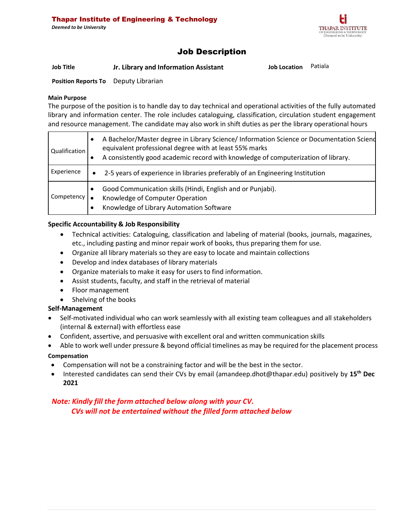

# Job Description

**Job Title Jr. Library and Information Assistant Job Location** Patiala

**Position Reports To** Deputy Librarian

### **Main Purpose**

The purpose of the position is to handle day to day technical and operational activities of the fully automated library and information center. The role includes cataloguing, classification, circulation student engagement and resource management. The candidate may also work in shift duties as per the library operational hours

| Qualification | $\bullet$ | A Bachelor/Master degree in Library Science/ Information Science or Documentation Sciend<br>equivalent professional degree with at least 55% marks<br>A consistently good academic record with knowledge of computerization of library. |
|---------------|-----------|-----------------------------------------------------------------------------------------------------------------------------------------------------------------------------------------------------------------------------------------|
| Experience    | $\bullet$ | 2-5 years of experience in libraries preferably of an Engineering Institution                                                                                                                                                           |
| Competency    | $\bullet$ | Good Communication skills (Hindi, English and or Punjabi).<br>Knowledge of Computer Operation<br>Knowledge of Library Automation Software                                                                                               |

# **Specific Accountability & Job Responsibility**

- Technical activities: Cataloguing, classification and labeling of material (books, journals, magazines, etc., including pasting and minor repair work of books, thus preparing them for use.
- Organize all library materials so they are easy to locate and maintain collections
- Develop and index databases of library materials
- Organize materials to make it easy for users to find information.
- Assist students, faculty, and staff in the retrieval of material
- Floor management
- Shelving of the books

## **Self-Management**

- Self-motivated individual who can work seamlessly with all existing team colleagues and all stakeholders (internal & external) with effortless ease
- Confident, assertive, and persuasive with excellent oral and written communication skills
- Able to work well under pressure & beyond official timelines as may be required for the placement process **Compensation**
- Compensation will not be a constraining factor and will be the best in the sector.
- Interested candidates can send their CVs by email [\(amandeep.dhot@thapar.edu\)](mailto:amandeep.dhot@thapar.edu) positively by **15th Dec 2021**

# *Note: Kindly fill the form attached below along with your CV. CVs will not be entertained without the filled form attached below*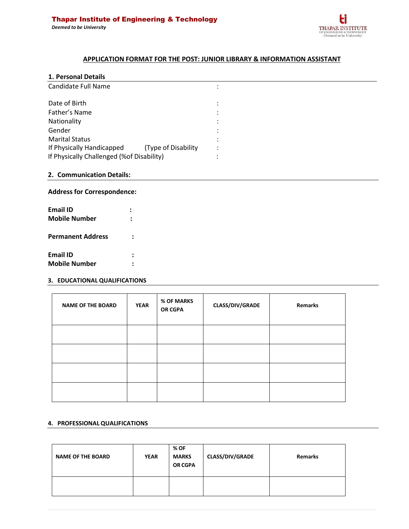

# **APPLICATION FORMAT FOR THE POST: JUNIOR LIBRARY & INFORMATION ASSISTANT**

#### **1. Personal Details**

| Candidate Full Name                       |                     |   |  |
|-------------------------------------------|---------------------|---|--|
| Date of Birth                             |                     |   |  |
| Father's Name                             |                     |   |  |
| Nationality                               |                     |   |  |
| Gender                                    |                     |   |  |
| <b>Marital Status</b>                     |                     |   |  |
| If Physically Handicapped                 | (Type of Disability | ٠ |  |
| If Physically Challenged (%of Disability) |                     |   |  |

## **2. Communication Details:**

#### **Address for Correspondence:**

| <b>Email ID</b>          |  |
|--------------------------|--|
| <b>Mobile Number</b>     |  |
| <b>Permanent Address</b> |  |
| <b>Email ID</b>          |  |
| <b>Mobile Number</b>     |  |

#### **3. EDUCATIONAL QUALIFICATIONS**

| <b>NAME OF THE BOARD</b> | <b>YEAR</b> | % OF MARKS<br><b>OR CGPA</b> | CLASS/DIV/GRADE | Remarks |
|--------------------------|-------------|------------------------------|-----------------|---------|
|                          |             |                              |                 |         |
|                          |             |                              |                 |         |
|                          |             |                              |                 |         |
|                          |             |                              |                 |         |

#### **4. PROFESSIONAL QUALIFICATIONS**

| <b>NAME OF THE BOARD</b> | <b>YEAR</b> | % OF<br><b>MARKS</b><br>OR CGPA | <b>CLASS/DIV/GRADE</b> | <b>Remarks</b> |  |
|--------------------------|-------------|---------------------------------|------------------------|----------------|--|
|                          |             |                                 |                        |                |  |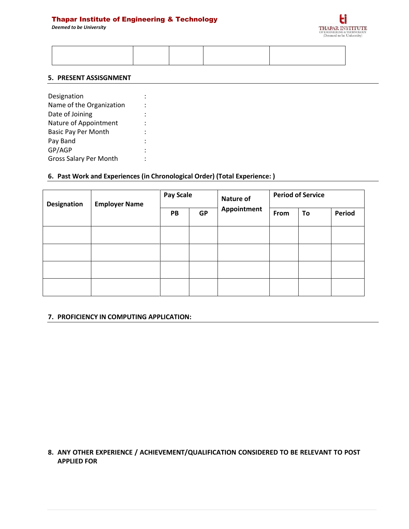# Thapar Institute of Engineering & Technology

*Deemed to be University*



#### **5. PRESENT ASSISGNMENT**

| Designation                   |  |
|-------------------------------|--|
| Name of the Organization      |  |
| Date of Joining               |  |
| Nature of Appointment         |  |
| <b>Basic Pay Per Month</b>    |  |
| Pay Band                      |  |
| GP/AGP                        |  |
| <b>Gross Salary Per Month</b> |  |
|                               |  |

### **6. Past Work and Experiences (in Chronological Order) (Total Experience: )**

| Designation | <b>Employer Name</b> | <b>Pay Scale</b> |           | Nature of   | <b>Period of Service</b> |    |        |
|-------------|----------------------|------------------|-----------|-------------|--------------------------|----|--------|
|             |                      | PB               | <b>GP</b> | Appointment | From                     | To | Period |
|             |                      |                  |           |             |                          |    |        |
|             |                      |                  |           |             |                          |    |        |
|             |                      |                  |           |             |                          |    |        |
|             |                      |                  |           |             |                          |    |        |

#### **7. PROFICIENCY IN COMPUTING APPLICATION:**

**8. ANY OTHER EXPERIENCE / ACHIEVEMENT/QUALIFICATION CONSIDERED TO BE RELEVANT TO POST APPLIED FOR**